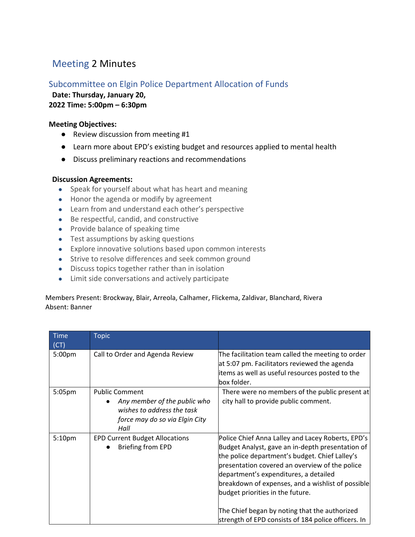# Meeting 2 Minutes

## Subcommittee on Elgin Police Department Allocation of Funds

**Date: Thursday, January 20,** 

### **2022 Time: 5:00pm – 6:30pm**

#### **Meeting Objectives:**

- Review discussion from meeting #1
- Learn more about EPD's existing budget and resources applied to mental health
- Discuss preliminary reactions and recommendations

#### **Discussion Agreements:**

- Speak for yourself about what has heart and meaning
- Honor the agenda or modify by agreement
- Learn from and understand each other's perspective
- Be respectful, candid, and constructive
- Provide balance of speaking time
- Test assumptions by asking questions
- Explore innovative solutions based upon common interests
- Strive to resolve differences and seek common ground
- Discuss topics together rather than in isolation
- Limit side conversations and actively participate

#### Members Present: Brockway, Blair, Arreola, Calhamer, Flickema, Zaldivar, Blanchard, Rivera Absent: Banner

| <b>Time</b><br>(CT) | <b>Topic</b>                                                                                                                  |                                                                                                                                                                                                                                                                                                                                                                                                                                                     |
|---------------------|-------------------------------------------------------------------------------------------------------------------------------|-----------------------------------------------------------------------------------------------------------------------------------------------------------------------------------------------------------------------------------------------------------------------------------------------------------------------------------------------------------------------------------------------------------------------------------------------------|
| 5:00pm              | Call to Order and Agenda Review                                                                                               | The facilitation team called the meeting to order<br>at 5:07 pm. Facilitators reviewed the agenda<br>items as well as useful resources posted to the<br>box folder.                                                                                                                                                                                                                                                                                 |
| 5:05 <sub>pm</sub>  | <b>Public Comment</b><br>Any member of the public who<br>wishes to address the task<br>force may do so via Elgin City<br>Hall | There were no members of the public present at<br>city hall to provide public comment.                                                                                                                                                                                                                                                                                                                                                              |
| 5:10pm              | <b>EPD Current Budget Allocations</b><br><b>Briefing from EPD</b>                                                             | Police Chief Anna Lalley and Lacey Roberts, EPD's<br>Budget Analyst, gave an in-depth presentation of<br>the police department's budget. Chief Lalley's<br>presentation covered an overview of the police<br>department's expenditures, a detailed<br>breakdown of expenses, and a wishlist of possible<br>budget priorities in the future.<br>The Chief began by noting that the authorized<br>strength of EPD consists of 184 police officers. In |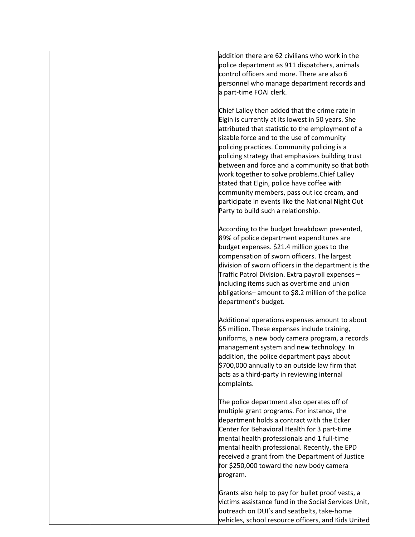|  | addition there are 62 civilians who work in the<br>police department as 911 dispatchers, animals<br>control officers and more. There are also 6<br>personnel who manage department records and<br>a part-time FOAI clerk.                                                                                                                                                                                                                                                                                                                                                                          |
|--|----------------------------------------------------------------------------------------------------------------------------------------------------------------------------------------------------------------------------------------------------------------------------------------------------------------------------------------------------------------------------------------------------------------------------------------------------------------------------------------------------------------------------------------------------------------------------------------------------|
|  | Chief Lalley then added that the crime rate in<br>Elgin is currently at its lowest in 50 years. She<br>attributed that statistic to the employment of a<br>sizable force and to the use of community<br>policing practices. Community policing is a<br>policing strategy that emphasizes building trust<br>between and force and a community so that both<br>work together to solve problems. Chief Lalley<br>stated that Elgin, police have coffee with<br>community members, pass out ice cream, and<br>participate in events like the National Night Out<br>Party to build such a relationship. |
|  | According to the budget breakdown presented,<br>89% of police department expenditures are<br>budget expenses. \$21.4 million goes to the<br>compensation of sworn officers. The largest<br>division of sworn officers in the department is the<br>Traffic Patrol Division. Extra payroll expenses -<br>including items such as overtime and union<br>obligations-amount to \$8.2 million of the police<br>department's budget.                                                                                                                                                                     |
|  | Additional operations expenses amount to about<br>\$5 million. These expenses include training,<br>uniforms, a new body camera program, a records<br>management system and new technology. In<br>addition, the police department pays about<br>\$700,000 annually to an outside law firm that<br>acts as a third-party in reviewing internal<br>complaints.                                                                                                                                                                                                                                        |
|  | The police department also operates off of<br>multiple grant programs. For instance, the<br>department holds a contract with the Ecker<br>Center for Behavioral Health for 3 part-time<br>mental health professionals and 1 full-time<br>mental health professional. Recently, the EPD<br>received a grant from the Department of Justice<br>for \$250,000 toward the new body camera<br>program.                                                                                                                                                                                                  |
|  | Grants also help to pay for bullet proof vests, a<br>victims assistance fund in the Social Services Unit,<br>outreach on DUI's and seatbelts, take-home<br>vehicles, school resource officers, and Kids United                                                                                                                                                                                                                                                                                                                                                                                     |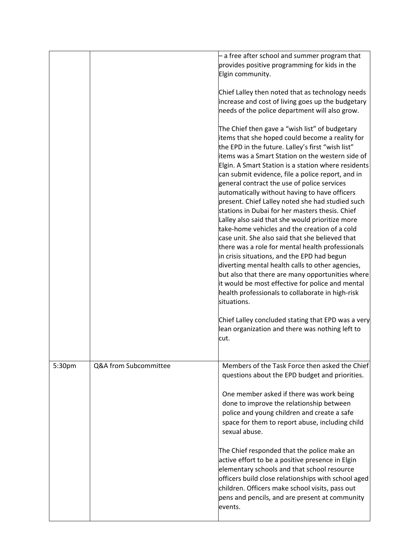|        |                       | - a free after school and summer program that<br>provides positive programming for kids in the                                                                                                                                                                                                                                                                                                                                                                                                                                                                                                                                                                                                                                                                                                                                                                                                                                                                                                                         |
|--------|-----------------------|------------------------------------------------------------------------------------------------------------------------------------------------------------------------------------------------------------------------------------------------------------------------------------------------------------------------------------------------------------------------------------------------------------------------------------------------------------------------------------------------------------------------------------------------------------------------------------------------------------------------------------------------------------------------------------------------------------------------------------------------------------------------------------------------------------------------------------------------------------------------------------------------------------------------------------------------------------------------------------------------------------------------|
|        |                       | Elgin community.                                                                                                                                                                                                                                                                                                                                                                                                                                                                                                                                                                                                                                                                                                                                                                                                                                                                                                                                                                                                       |
|        |                       | Chief Lalley then noted that as technology needs<br>increase and cost of living goes up the budgetary<br>needs of the police department will also grow.                                                                                                                                                                                                                                                                                                                                                                                                                                                                                                                                                                                                                                                                                                                                                                                                                                                                |
|        |                       | The Chief then gave a "wish list" of budgetary<br>items that she hoped could become a reality for<br>the EPD in the future. Lalley's first "wish list"<br>items was a Smart Station on the western side of<br>Elgin. A Smart Station is a station where residents<br>can submit evidence, file a police report, and in<br>general contract the use of police services<br>automatically without having to have officers<br>present. Chief Lalley noted she had studied such<br>stations in Dubai for her masters thesis. Chief<br>Lalley also said that she would prioritize more<br>take-home vehicles and the creation of a cold<br>case unit. She also said that she believed that<br>there was a role for mental health professionals<br>in crisis situations, and the EPD had begun<br>diverting mental health calls to other agencies,<br>but also that there are many opportunities where<br>it would be most effective for police and mental<br>health professionals to collaborate in high-risk<br>situations. |
|        |                       | Chief Lalley concluded stating that EPD was a very<br>lean organization and there was nothing left to<br>cut.                                                                                                                                                                                                                                                                                                                                                                                                                                                                                                                                                                                                                                                                                                                                                                                                                                                                                                          |
| 5:30pm | Q&A from Subcommittee | Members of the Task Force then asked the Chief<br>questions about the EPD budget and priorities.                                                                                                                                                                                                                                                                                                                                                                                                                                                                                                                                                                                                                                                                                                                                                                                                                                                                                                                       |
|        |                       | One member asked if there was work being<br>done to improve the relationship between<br>police and young children and create a safe<br>space for them to report abuse, including child<br>sexual abuse.                                                                                                                                                                                                                                                                                                                                                                                                                                                                                                                                                                                                                                                                                                                                                                                                                |
|        |                       | The Chief responded that the police make an<br>active effort to be a positive presence in Elgin<br>elementary schools and that school resource<br>officers build close relationships with school aged<br>children. Officers make school visits, pass out<br>pens and pencils, and are present at community<br>events.                                                                                                                                                                                                                                                                                                                                                                                                                                                                                                                                                                                                                                                                                                  |